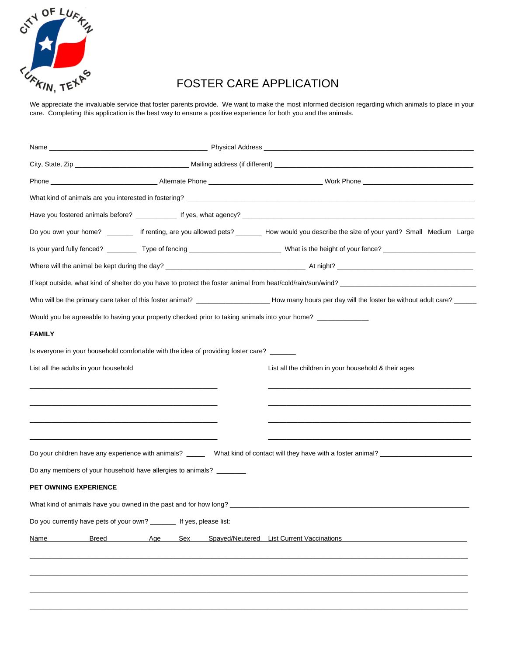

## FOSTER CARE APPLICATION

We appreciate the invaluable service that foster parents provide. We want to make the most informed decision regarding which animals to place in your care. Completing this application is the best way to ensure a positive experience for both you and the animals.

|                                                                      |                                                                                         | Do you own your home? _______ If renting, are you allowed pets? ______ How would you describe the size of your yard? Small Medium Large                |  |  |
|----------------------------------------------------------------------|-----------------------------------------------------------------------------------------|--------------------------------------------------------------------------------------------------------------------------------------------------------|--|--|
|                                                                      |                                                                                         |                                                                                                                                                        |  |  |
|                                                                      |                                                                                         |                                                                                                                                                        |  |  |
|                                                                      |                                                                                         |                                                                                                                                                        |  |  |
|                                                                      |                                                                                         | Who will be the primary care taker of this foster animal? _______________________ How many hours per day will the foster be without adult care? ______ |  |  |
|                                                                      |                                                                                         | Would you be agreeable to having your property checked prior to taking animals into your home? ___________                                             |  |  |
| <b>FAMILY</b>                                                        |                                                                                         |                                                                                                                                                        |  |  |
|                                                                      | Is everyone in your household comfortable with the idea of providing foster care? _____ |                                                                                                                                                        |  |  |
| List all the adults in your household                                |                                                                                         | List all the children in your household & their ages                                                                                                   |  |  |
|                                                                      |                                                                                         |                                                                                                                                                        |  |  |
|                                                                      |                                                                                         |                                                                                                                                                        |  |  |
|                                                                      |                                                                                         |                                                                                                                                                        |  |  |
|                                                                      |                                                                                         |                                                                                                                                                        |  |  |
|                                                                      |                                                                                         |                                                                                                                                                        |  |  |
|                                                                      | Do any members of your household have allergies to animals? ________                    |                                                                                                                                                        |  |  |
| PET OWNING EXPERIENCE                                                |                                                                                         |                                                                                                                                                        |  |  |
|                                                                      |                                                                                         |                                                                                                                                                        |  |  |
| Do you currently have pets of your own? _______ If yes, please list: |                                                                                         |                                                                                                                                                        |  |  |
| <b>Breed</b><br>Name                                                 | Age<br>Sex                                                                              | Spayed/Neutered List Current Vaccinations                                                                                                              |  |  |
|                                                                      |                                                                                         |                                                                                                                                                        |  |  |
|                                                                      |                                                                                         |                                                                                                                                                        |  |  |
|                                                                      |                                                                                         |                                                                                                                                                        |  |  |
|                                                                      |                                                                                         |                                                                                                                                                        |  |  |
|                                                                      |                                                                                         |                                                                                                                                                        |  |  |